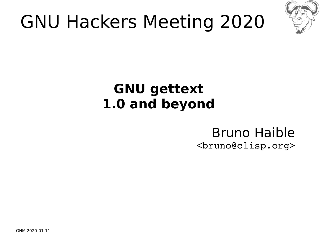

## GNU Hackers Meeting 2020

#### **GNU gettext 1.0 and beyond**

#### Bruno Haible <bruno@clisp.org>

GHM 2020-01-11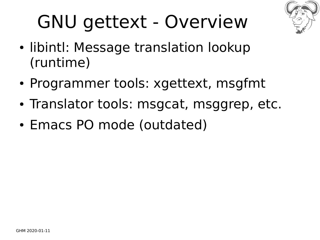

## GNU gettext - Overview

- libintl: Message translation lookup (runtime)
- Programmer tools: xgettext, msgfmt
- Translator tools: msgcat, msggrep, etc.
- Emacs PO mode (outdated)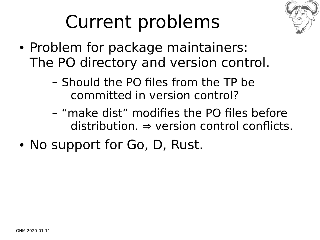

## Current problems

- Problem for package maintainers: The PO directory and version control.
	- Should the PO files from the TP be committed in version control?
	- "make dist" modifies the PO files before  $distri$ bution.  $\Rightarrow$  version control conflicts.
- No support for Go, D, Rust.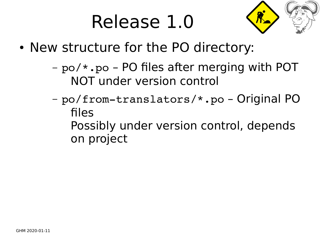#### Release 1.0



- New structure for the PO directory:
	- po/\*.po PO files after merging with POT NOT under version control
	- po/from-translators/\*.po Original PO files Possibly under version control, depends on project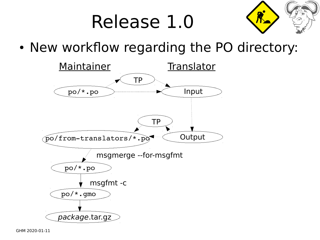## Release 1.0



• New workflow regarding the PO directory:

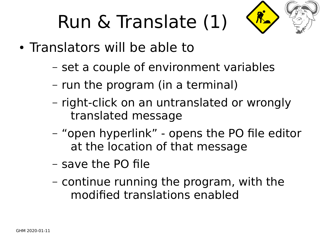## Run & Translate (1)



- Translators will be able to
	- set a couple of environment variables
	- run the program (in a terminal)
	- right-click on an untranslated or wrongly translated message
	- "open hyperlink" opens the PO file editor at the location of that message
	- save the PO file
	- continue running the program, with the modified translations enabled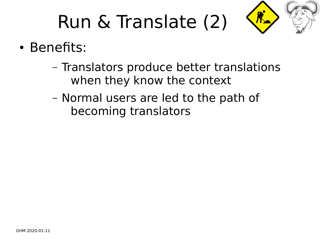# Run & Translate (2)



- Benefits:
	- Translators produce better translations when they know the context
	- Normal users are led to the path of becoming translators